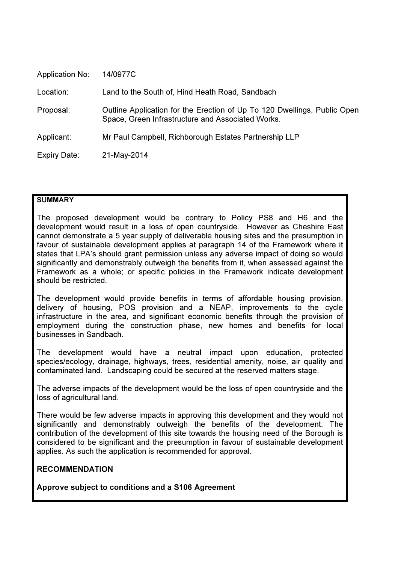| <b>Application No:</b> | 14/0977C                                                                                                                      |
|------------------------|-------------------------------------------------------------------------------------------------------------------------------|
| Location:              | Land to the South of, Hind Heath Road, Sandbach                                                                               |
| Proposal:              | Outline Application for the Erection of Up To 120 Dwellings, Public Open<br>Space, Green Infrastructure and Associated Works. |
| Applicant:             | Mr Paul Campbell, Richborough Estates Partnership LLP                                                                         |
| Expiry Date:           | 21-May-2014                                                                                                                   |

# **SUMMARY**

The proposed development would be contrary to Policy PS8 and H6 and the development would result in a loss of open countryside. However as Cheshire East cannot demonstrate a 5 year supply of deliverable housing sites and the presumption in favour of sustainable development applies at paragraph 14 of the Framework where it states that LPA's should grant permission unless any adverse impact of doing so would significantly and demonstrably outweigh the benefits from it, when assessed against the Framework as a whole; or specific policies in the Framework indicate development should be restricted.

The development would provide benefits in terms of affordable housing provision, delivery of housing, POS provision and a NEAP, improvements to the cycle infrastructure in the area, and significant economic benefits through the provision of employment during the construction phase, new homes and benefits for local businesses in Sandbach.

The development would have a neutral impact upon education, protected species/ecology, drainage, highways, trees, residential amenity, noise, air quality and contaminated land. Landscaping could be secured at the reserved matters stage.

The adverse impacts of the development would be the loss of open countryside and the loss of agricultural land.

There would be few adverse impacts in approving this development and they would not significantly and demonstrably outweigh the benefits of the development. The contribution of the development of this site towards the housing need of the Borough is considered to be significant and the presumption in favour of sustainable development applies. As such the application is recommended for approval.

# RECOMMENDATION

Approve subject to conditions and a S106 Agreement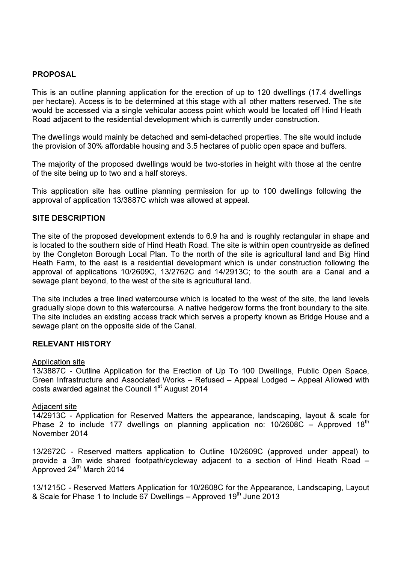### PROPOSAL

This is an outline planning application for the erection of up to 120 dwellings (17.4 dwellings per hectare). Access is to be determined at this stage with all other matters reserved. The site would be accessed via a single vehicular access point which would be located off Hind Heath Road adjacent to the residential development which is currently under construction.

The dwellings would mainly be detached and semi-detached properties. The site would include the provision of 30% affordable housing and 3.5 hectares of public open space and buffers.

The majority of the proposed dwellings would be two-stories in height with those at the centre of the site being up to two and a half storeys.

This application site has outline planning permission for up to 100 dwellings following the approval of application 13/3887C which was allowed at appeal.

#### SITE DESCRIPTION

The site of the proposed development extends to 6.9 ha and is roughly rectangular in shape and is located to the southern side of Hind Heath Road. The site is within open countryside as defined by the Congleton Borough Local Plan. To the north of the site is agricultural land and Big Hind Heath Farm, to the east is a residential development which is under construction following the approval of applications 10/2609C, 13/2762C and 14/2913C; to the south are a Canal and a sewage plant beyond, to the west of the site is agricultural land.

The site includes a tree lined watercourse which is located to the west of the site, the land levels gradually slope down to this watercourse. A native hedgerow forms the front boundary to the site. The site includes an existing access track which serves a property known as Bridge House and a sewage plant on the opposite side of the Canal.

#### RELEVANT HISTORY

#### Application site

13/3887C - Outline Application for the Erection of Up To 100 Dwellings, Public Open Space, Green Infrastructure and Associated Works – Refused – Appeal Lodged – Appeal Allowed with costs awarded against the Council 1<sup>st</sup> August 2014

#### Adjacent site

14/2913C - Application for Reserved Matters the appearance, landscaping, layout & scale for Phase 2 to include 177 dwellings on planning application no:  $10/2608C -$  Approved 18<sup>th</sup> November 2014

13/2672C - Reserved matters application to Outline 10/2609C (approved under appeal) to provide a 3m wide shared footpath/cycleway adjacent to a section of Hind Heath Road – Approved  $24<sup>th</sup>$  March 2014

13/1215C - Reserved Matters Application for 10/2608C for the Appearance, Landscaping, Layout & Scale for Phase 1 to Include 67 Dwellings – Approved  $19<sup>th</sup>$  June 2013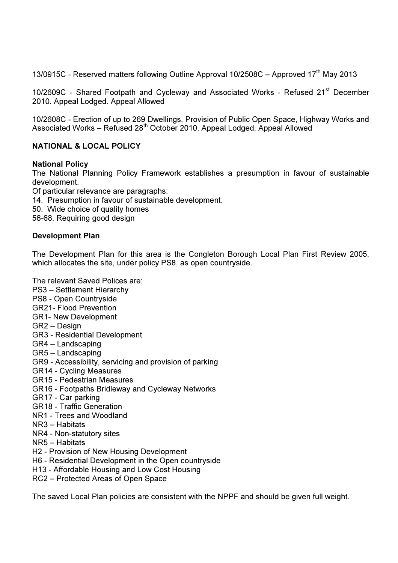13/0915C - Reserved matters following Outline Approval 10/2508C - Approved 17<sup>th</sup> May 2013

10/2609C - Shared Footpath and Cycleway and Associated Works - Refused 21<sup>st</sup> December 2010. Appeal Lodged. Appeal Allowed

10/2608C - Erection of up to 269 Dwellings, Provision of Public Open Space, Highway Works and Associated Works – Refused 28th October 2010. Appeal Lodged. Appeal Allowed

# NATIONAL & LOCAL POLICY

#### National Policy

The National Planning Policy Framework establishes a presumption in favour of sustainable development.

Of particular relevance are paragraphs: 14. Presumption in favour of sustainable development. 50. Wide choice of quality homes 56-68. Requiring good design

#### Development Plan

The Development Plan for this area is the Congleton Borough Local Plan First Review 2005, which allocates the site, under policy PS8, as open countryside.

The relevant Saved Polices are:

- PS3 Settlement Hierarchy
- PS8 Open Countryside
- GR21- Flood Prevention
- GR1- New Development
- GR2 Design
- GR3 Residential Development
- GR4 Landscaping
- GR5 Landscaping
- GR9 Accessibility, servicing and provision of parking
- GR14 Cycling Measures
- GR15 Pedestrian Measures
- GR16 Footpaths Bridleway and Cycleway Networks
- GR17 Car parking
- GR18 Traffic Generation
- NR1 Trees and Woodland
- NR3 Habitats
- NR4 Non-statutory sites
- NR5 Habitats
- H2 Provision of New Housing Development
- H6 Residential Development in the Open countryside
- H13 Affordable Housing and Low Cost Housing
- RC2 Protected Areas of Open Space

The saved Local Plan policies are consistent with the NPPF and should be given full weight.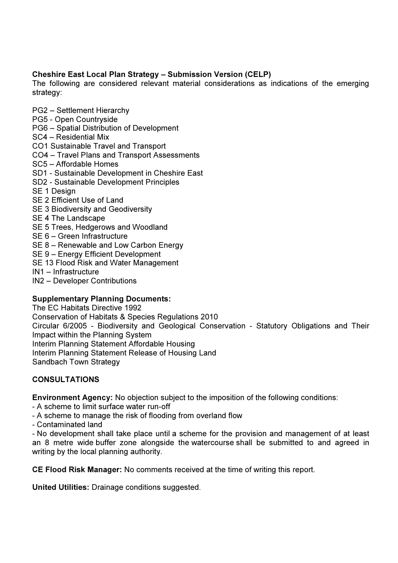# Cheshire East Local Plan Strategy – Submission Version (CELP)

The following are considered relevant material considerations as indications of the emerging strategy:

- PG2 Settlement Hierarchy
- PG5 Open Countryside
- PG6 Spatial Distribution of Development
- SC4 Residential Mix
- CO1 Sustainable Travel and Transport
- CO4 Travel Plans and Transport Assessments
- SC5 Affordable Homes
- SD1 Sustainable Development in Cheshire East
- SD2 Sustainable Development Principles
- SE 1 Design
- SE 2 Efficient Use of Land
- SE 3 Biodiversity and Geodiversity
- SE 4 The Landscape
- SE 5 Trees, Hedgerows and Woodland
- SE 6 Green Infrastructure
- SE 8 Renewable and Low Carbon Energy
- SE 9 Energy Efficient Development
- SE 13 Flood Risk and Water Management
- IN1 Infrastructure
- IN2 Developer Contributions

# Supplementary Planning Documents:

The EC Habitats Directive 1992 Conservation of Habitats & Species Regulations 2010 Circular 6/2005 - Biodiversity and Geological Conservation - Statutory Obligations and Their Impact within the Planning System Interim Planning Statement Affordable Housing Interim Planning Statement Release of Housing Land Sandbach Town Strategy

# **CONSULTATIONS**

Environment Agency: No objection subject to the imposition of the following conditions:

- A scheme to limit surface water run-off
- A scheme to manage the risk of flooding from overland flow
- Contaminated land

- No development shall take place until a scheme for the provision and management of at least an 8 metre wide buffer zone alongside the watercourse shall be submitted to and agreed in writing by the local planning authority.

CE Flood Risk Manager: No comments received at the time of writing this report.

United Utilities: Drainage conditions suggested.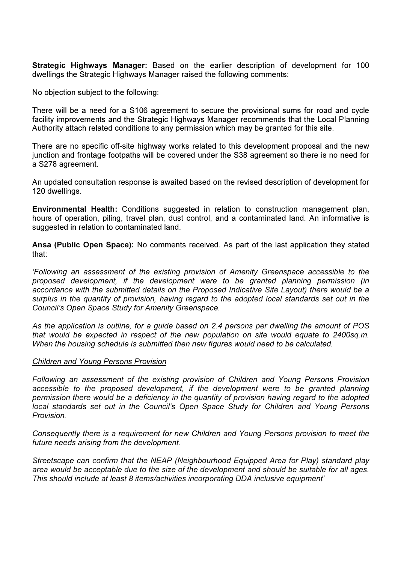Strategic Highways Manager: Based on the earlier description of development for 100 dwellings the Strategic Highways Manager raised the following comments:

No objection subject to the following:

There will be a need for a S106 agreement to secure the provisional sums for road and cycle facility improvements and the Strategic Highways Manager recommends that the Local Planning Authority attach related conditions to any permission which may be granted for this site.

There are no specific off-site highway works related to this development proposal and the new junction and frontage footpaths will be covered under the S38 agreement so there is no need for a S278 agreement.

An updated consultation response is awaited based on the revised description of development for 120 dwellings.

Environmental Health: Conditions suggested in relation to construction management plan, hours of operation, piling, travel plan, dust control, and a contaminated land. An informative is suggested in relation to contaminated land.

Ansa (Public Open Space): No comments received. As part of the last application they stated that:

'Following an assessment of the existing provision of Amenity Greenspace accessible to the proposed development, if the development were to be granted planning permission (in accordance with the submitted details on the Proposed Indicative Site Layout) there would be a surplus in the quantity of provision, having regard to the adopted local standards set out in the Council's Open Space Study for Amenity Greenspace.

As the application is outline, for a guide based on 2.4 persons per dwelling the amount of POS that would be expected in respect of the new population on site would equate to 2400sq.m. When the housing schedule is submitted then new figures would need to be calculated.

#### Children and Young Persons Provision

Following an assessment of the existing provision of Children and Young Persons Provision accessible to the proposed development, if the development were to be granted planning permission there would be a deficiency in the quantity of provision having regard to the adopted local standards set out in the Council's Open Space Study for Children and Young Persons Provision.

Consequently there is a requirement for new Children and Young Persons provision to meet the future needs arising from the development.

Streetscape can confirm that the NEAP (Neighbourhood Equipped Area for Play) standard play area would be acceptable due to the size of the development and should be suitable for all ages. This should include at least 8 items/activities incorporating DDA inclusive equipment'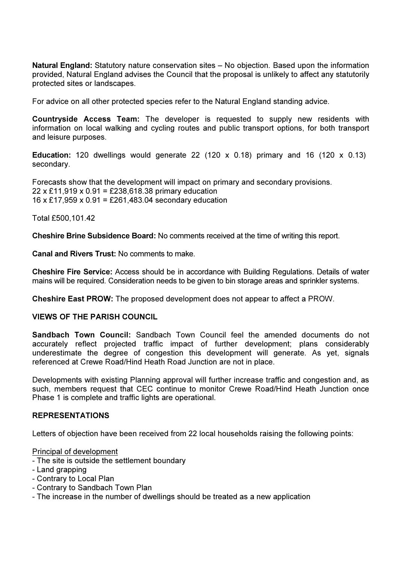Natural England: Statutory nature conservation sites – No objection. Based upon the information provided, Natural England advises the Council that the proposal is unlikely to affect any statutorily protected sites or landscapes.

For advice on all other protected species refer to the Natural England standing advice.

Countryside Access Team: The developer is requested to supply new residents with information on local walking and cycling routes and public transport options, for both transport and leisure purposes.

**Education:** 120 dwellings would generate 22 (120 x 0.18) primary and 16 (120 x 0.13) secondary.

Forecasts show that the development will impact on primary and secondary provisions. 22 x £11,919 x 0.91 = £238,618.38 primary education 16 x £17,959 x 0.91 = £261,483.04 secondary education

Total £500,101.42

Cheshire Brine Subsidence Board: No comments received at the time of writing this report.

Canal and Rivers Trust: No comments to make.

Cheshire Fire Service: Access should be in accordance with Building Regulations. Details of water mains will be required. Consideration needs to be given to bin storage areas and sprinkler systems.

Cheshire East PROW: The proposed development does not appear to affect a PROW.

#### VIEWS OF THE PARISH COUNCIL

Sandbach Town Council: Sandbach Town Council feel the amended documents do not accurately reflect projected traffic impact of further development; plans considerably underestimate the degree of congestion this development will generate. As yet, signals referenced at Crewe Road/Hind Heath Road Junction are not in place.

Developments with existing Planning approval will further increase traffic and congestion and, as such, members request that CEC continue to monitor Crewe Road/Hind Heath Junction once Phase 1 is complete and traffic lights are operational.

#### REPRESENTATIONS

Letters of objection have been received from 22 local households raising the following points:

Principal of development

- The site is outside the settlement boundary
- Land grapping
- Contrary to Local Plan
- Contrary to Sandbach Town Plan
- The increase in the number of dwellings should be treated as a new application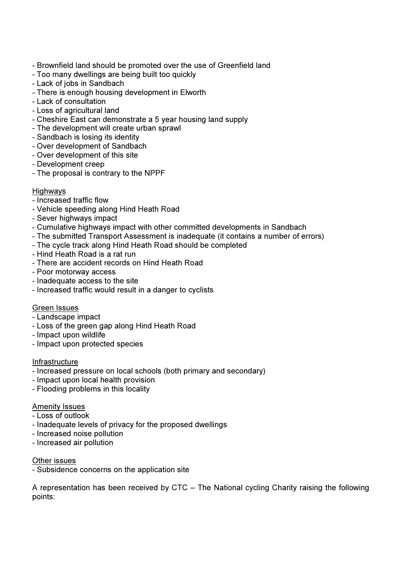- Brownfield land should be promoted over the use of Greenfield land
- Too many dwellings are being built too quickly
- Lack of jobs in Sandbach
- There is enough housing development in Elworth
- Lack of consultation
- Loss of agricultural land
- Cheshire East can demonstrate a 5 year housing land supply
- The development will create urban sprawl
- Sandbach is losing its identity
- Over development of Sandbach
- Over development of this site
- Development creep
- The proposal is contrary to the NPPF

# **Highways**

- Increased traffic flow
- Vehicle speeding along Hind Heath Road
- Sever highways impact
- Cumulative highways impact with other committed developments in Sandbach
- The submitted Transport Assessment is inadequate (it contains a number of errors)
- The cycle track along Hind Heath Road should be completed
- Hind Heath Road is a rat run
- There are accident records on Hind Heath Road
- Poor motorway access
- Inadequate access to the site
- Increased traffic would result in a danger to cyclists

#### Green Issues

- Landscape impact
- Loss of the green gap along Hind Heath Road
- Impact upon wildlife
- Impact upon protected species

#### Infrastructure

- Increased pressure on local schools (both primary and secondary)
- Impact upon local health provision
- Flooding problems in this locality

#### Amenity Issues

- Loss of outlook
- Inadequate levels of privacy for the proposed dwellings
- Increased noise pollution
- Increased air pollution

Other issues

- Subsidence concerns on the application site

A representation has been received by CTC – The National cycling Charity raising the following points: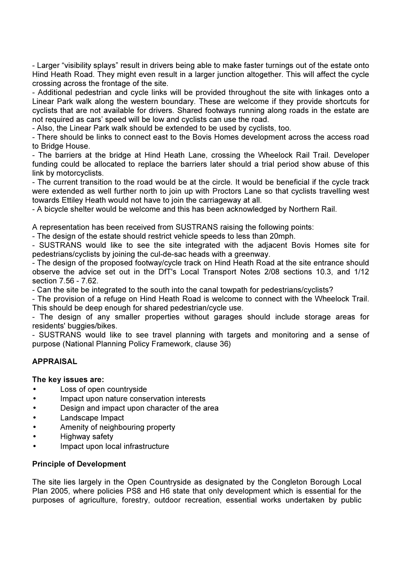- Larger "visibility splays" result in drivers being able to make faster turnings out of the estate onto Hind Heath Road. They might even result in a larger junction altogether. This will affect the cycle crossing across the frontage of the site.

- Additional pedestrian and cycle links will be provided throughout the site with linkages onto a Linear Park walk along the western boundary. These are welcome if they provide shortcuts for cyclists that are not available for drivers. Shared footways running along roads in the estate are not required as cars' speed will be low and cyclists can use the road.

- Also, the Linear Park walk should be extended to be used by cyclists, too.

- There should be links to connect east to the Bovis Homes development across the access road to Bridge House.

- The barriers at the bridge at Hind Heath Lane, crossing the Wheelock Rail Trail. Developer funding could be allocated to replace the barriers later should a trial period show abuse of this link by motorcyclists.

- The current transition to the road would be at the circle. It would be beneficial if the cycle track were extended as well further north to join up with Proctors Lane so that cyclists travelling west towards Ettiley Heath would not have to join the carriageway at all.

- A bicycle shelter would be welcome and this has been acknowledged by Northern Rail.

A representation has been received from SUSTRANS raising the following points:

- The design of the estate should restrict vehicle speeds to less than 20mph.

- SUSTRANS would like to see the site integrated with the adjacent Bovis Homes site for pedestrians/cyclists by joining the cul-de-sac heads with a greenway.

- The design of the proposed footway/cycle track on Hind Heath Road at the site entrance should observe the advice set out in the DfT's Local Transport Notes 2/08 sections 10.3, and 1/12 section 7.56 - 7.62.

- Can the site be integrated to the south into the canal towpath for pedestrians/cyclists?

- The provision of a refuge on Hind Heath Road is welcome to connect with the Wheelock Trail. This should be deep enough for shared pedestrian/cycle use.

- The design of any smaller properties without garages should include storage areas for residents' buggies/bikes.

- SUSTRANS would like to see travel planning with targets and monitoring and a sense of purpose (National Planning Policy Framework, clause 36)

#### APPRAISAL

The key issues are:

- Loss of open countryside
- Impact upon nature conservation interests
- Design and impact upon character of the area
- Landscape Impact
- Amenity of neighbouring property
- Highway safety
- Impact upon local infrastructure

#### Principle of Development

The site lies largely in the Open Countryside as designated by the Congleton Borough Local Plan 2005, where policies PS8 and H6 state that only development which is essential for the purposes of agriculture, forestry, outdoor recreation, essential works undertaken by public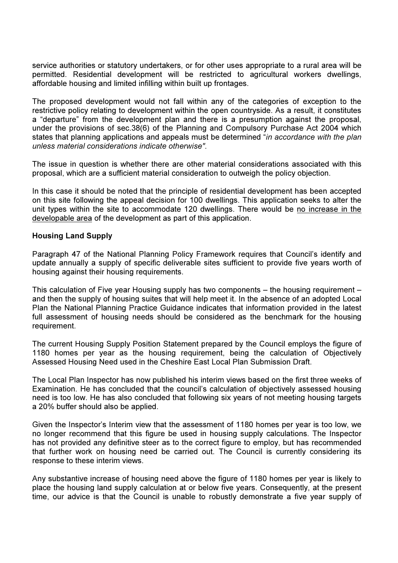service authorities or statutory undertakers, or for other uses appropriate to a rural area will be permitted. Residential development will be restricted to agricultural workers dwellings, affordable housing and limited infilling within built up frontages.

The proposed development would not fall within any of the categories of exception to the restrictive policy relating to development within the open countryside. As a result, it constitutes a "departure" from the development plan and there is a presumption against the proposal, under the provisions of sec.38(6) of the Planning and Compulsory Purchase Act 2004 which states that planning applications and appeals must be determined "in accordance with the plan unless material considerations indicate otherwise".

The issue in question is whether there are other material considerations associated with this proposal, which are a sufficient material consideration to outweigh the policy objection.

In this case it should be noted that the principle of residential development has been accepted on this site following the appeal decision for 100 dwellings. This application seeks to alter the unit types within the site to accommodate 120 dwellings. There would be no increase in the developable area of the development as part of this application.

#### Housing Land Supply

Paragraph 47 of the National Planning Policy Framework requires that Council's identify and update annually a supply of specific deliverable sites sufficient to provide five years worth of housing against their housing requirements.

This calculation of Five year Housing supply has two components – the housing requirement – and then the supply of housing suites that will help meet it. In the absence of an adopted Local Plan the National Planning Practice Guidance indicates that information provided in the latest full assessment of housing needs should be considered as the benchmark for the housing requirement.

The current Housing Supply Position Statement prepared by the Council employs the figure of 1180 homes per year as the housing requirement, being the calculation of Objectively Assessed Housing Need used in the Cheshire East Local Plan Submission Draft.

The Local Plan Inspector has now published his interim views based on the first three weeks of Examination. He has concluded that the council's calculation of objectively assessed housing need is too low. He has also concluded that following six years of not meeting housing targets a 20% buffer should also be applied.

Given the Inspector's Interim view that the assessment of 1180 homes per year is too low, we no longer recommend that this figure be used in housing supply calculations. The Inspector has not provided any definitive steer as to the correct figure to employ, but has recommended that further work on housing need be carried out. The Council is currently considering its response to these interim views.

Any substantive increase of housing need above the figure of 1180 homes per year is likely to place the housing land supply calculation at or below five years. Consequently, at the present time, our advice is that the Council is unable to robustly demonstrate a five year supply of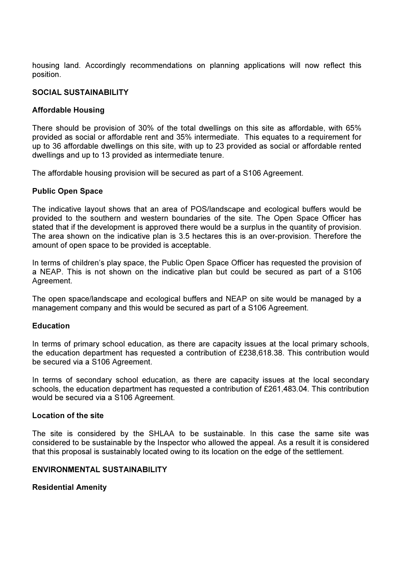housing land. Accordingly recommendations on planning applications will now reflect this position.

# SOCIAL SUSTAINABILITY

# Affordable Housing

There should be provision of 30% of the total dwellings on this site as affordable, with 65% provided as social or affordable rent and 35% intermediate. This equates to a requirement for up to 36 affordable dwellings on this site, with up to 23 provided as social or affordable rented dwellings and up to 13 provided as intermediate tenure.

The affordable housing provision will be secured as part of a S106 Agreement.

# Public Open Space

The indicative layout shows that an area of POS/landscape and ecological buffers would be provided to the southern and western boundaries of the site. The Open Space Officer has stated that if the development is approved there would be a surplus in the quantity of provision. The area shown on the indicative plan is 3.5 hectares this is an over-provision. Therefore the amount of open space to be provided is acceptable.

In terms of children's play space, the Public Open Space Officer has requested the provision of a NEAP. This is not shown on the indicative plan but could be secured as part of a S106 Agreement.

The open space/landscape and ecological buffers and NEAP on site would be managed by a management company and this would be secured as part of a S106 Agreement.

#### Education

In terms of primary school education, as there are capacity issues at the local primary schools, the education department has requested a contribution of £238,618.38. This contribution would be secured via a S106 Agreement.

In terms of secondary school education, as there are capacity issues at the local secondary schools, the education department has requested a contribution of £261,483.04. This contribution would be secured via a S106 Agreement.

#### Location of the site

The site is considered by the SHLAA to be sustainable. In this case the same site was considered to be sustainable by the Inspector who allowed the appeal. As a result it is considered that this proposal is sustainably located owing to its location on the edge of the settlement.

#### ENVIRONMENTAL SUSTAINABILITY

# Residential Amenity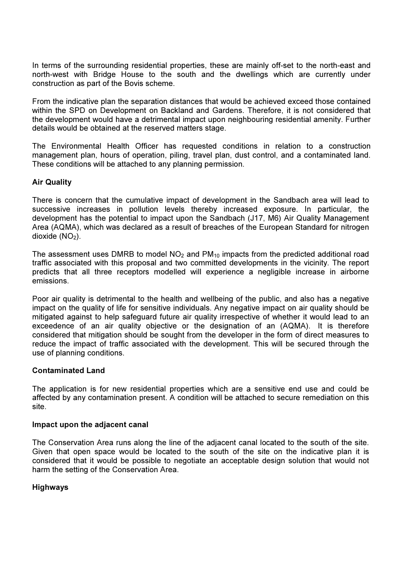In terms of the surrounding residential properties, these are mainly off-set to the north-east and north-west with Bridge House to the south and the dwellings which are currently under construction as part of the Bovis scheme.

From the indicative plan the separation distances that would be achieved exceed those contained within the SPD on Development on Backland and Gardens. Therefore, it is not considered that the development would have a detrimental impact upon neighbouring residential amenity. Further details would be obtained at the reserved matters stage.

The Environmental Health Officer has requested conditions in relation to a construction management plan, hours of operation, piling, travel plan, dust control, and a contaminated land. These conditions will be attached to any planning permission.

# Air Quality

There is concern that the cumulative impact of development in the Sandbach area will lead to successive increases in pollution levels thereby increased exposure. In particular, the development has the potential to impact upon the Sandbach (J17, M6) Air Quality Management Area (AQMA), which was declared as a result of breaches of the European Standard for nitrogen dioxide  $(NO<sub>2</sub>)$ .

The assessment uses DMRB to model  $NO<sub>2</sub>$  and  $PM<sub>10</sub>$  impacts from the predicted additional road traffic associated with this proposal and two committed developments in the vicinity. The report predicts that all three receptors modelled will experience a negligible increase in airborne emissions.

Poor air quality is detrimental to the health and wellbeing of the public, and also has a negative impact on the quality of life for sensitive individuals. Any negative impact on air quality should be mitigated against to help safeguard future air quality irrespective of whether it would lead to an exceedence of an air quality objective or the designation of an (AQMA). It is therefore considered that mitigation should be sought from the developer in the form of direct measures to reduce the impact of traffic associated with the development. This will be secured through the use of planning conditions.

#### Contaminated Land

The application is for new residential properties which are a sensitive end use and could be affected by any contamination present. A condition will be attached to secure remediation on this site.

#### Impact upon the adjacent canal

The Conservation Area runs along the line of the adjacent canal located to the south of the site. Given that open space would be located to the south of the site on the indicative plan it is considered that it would be possible to negotiate an acceptable design solution that would not harm the setting of the Conservation Area.

#### Highways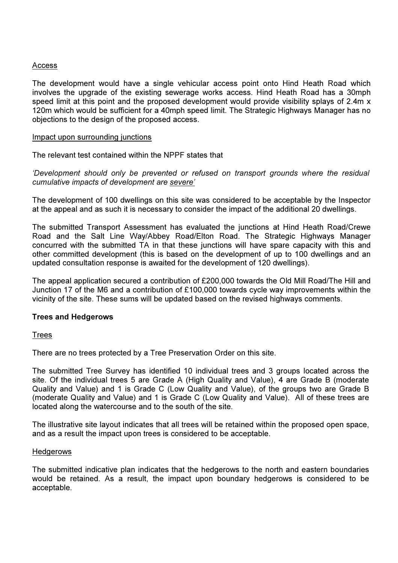### Access

The development would have a single vehicular access point onto Hind Heath Road which involves the upgrade of the existing sewerage works access. Hind Heath Road has a 30mph speed limit at this point and the proposed development would provide visibility splays of 2.4m x 120m which would be sufficient for a 40mph speed limit. The Strategic Highways Manager has no objections to the design of the proposed access.

#### Impact upon surrounding junctions

The relevant test contained within the NPPF states that

'Development should only be prevented or refused on transport grounds where the residual cumulative impacts of development are severe'

The development of 100 dwellings on this site was considered to be acceptable by the Inspector at the appeal and as such it is necessary to consider the impact of the additional 20 dwellings.

The submitted Transport Assessment has evaluated the junctions at Hind Heath Road/Crewe Road and the Salt Line Way/Abbey Road/Elton Road. The Strategic Highways Manager concurred with the submitted TA in that these junctions will have spare capacity with this and other committed development (this is based on the development of up to 100 dwellings and an updated consultation response is awaited for the development of 120 dwellings).

The appeal application secured a contribution of £200,000 towards the Old Mill Road/The Hill and Junction 17 of the M6 and a contribution of £100,000 towards cycle way improvements within the vicinity of the site. These sums will be updated based on the revised highways comments.

#### Trees and Hedgerows

**Trees** 

There are no trees protected by a Tree Preservation Order on this site.

The submitted Tree Survey has identified 10 individual trees and 3 groups located across the site. Of the individual trees 5 are Grade A (High Quality and Value), 4 are Grade B (moderate Quality and Value) and 1 is Grade C (Low Quality and Value), of the groups two are Grade B (moderate Quality and Value) and 1 is Grade C (Low Quality and Value). All of these trees are located along the watercourse and to the south of the site.

The illustrative site layout indicates that all trees will be retained within the proposed open space, and as a result the impact upon trees is considered to be acceptable.

### **Hedgerows**

The submitted indicative plan indicates that the hedgerows to the north and eastern boundaries would be retained. As a result, the impact upon boundary hedgerows is considered to be acceptable.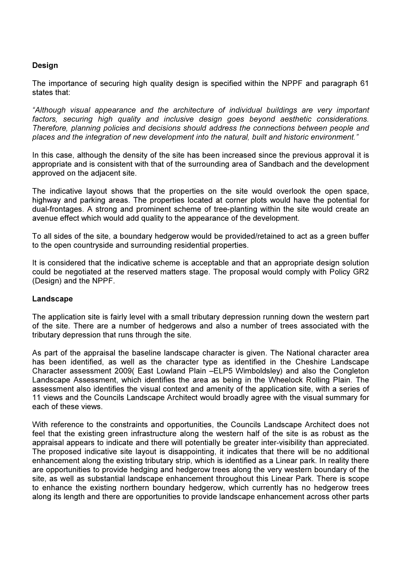# Design

The importance of securing high quality design is specified within the NPPF and paragraph 61 states that:

"Although visual appearance and the architecture of individual buildings are very important factors, securing high quality and inclusive design goes beyond aesthetic considerations. Therefore, planning policies and decisions should address the connections between people and places and the integration of new development into the natural, built and historic environment."

In this case, although the density of the site has been increased since the previous approval it is appropriate and is consistent with that of the surrounding area of Sandbach and the development approved on the adjacent site.

The indicative layout shows that the properties on the site would overlook the open space, highway and parking areas. The properties located at corner plots would have the potential for dual-frontages. A strong and prominent scheme of tree-planting within the site would create an avenue effect which would add quality to the appearance of the development.

To all sides of the site, a boundary hedgerow would be provided/retained to act as a green buffer to the open countryside and surrounding residential properties.

It is considered that the indicative scheme is acceptable and that an appropriate design solution could be negotiated at the reserved matters stage. The proposal would comply with Policy GR2 (Design) and the NPPF.

#### **Landscape**

The application site is fairly level with a small tributary depression running down the western part of the site. There are a number of hedgerows and also a number of trees associated with the tributary depression that runs through the site.

As part of the appraisal the baseline landscape character is given. The National character area has been identified, as well as the character type as identified in the Cheshire Landscape Character assessment 2009( East Lowland Plain –ELP5 Wimboldsley) and also the Congleton Landscape Assessment, which identifies the area as being in the Wheelock Rolling Plain. The assessment also identifies the visual context and amenity of the application site, with a series of 11 views and the Councils Landscape Architect would broadly agree with the visual summary for each of these views.

With reference to the constraints and opportunities, the Councils Landscape Architect does not feel that the existing green infrastructure along the western half of the site is as robust as the appraisal appears to indicate and there will potentially be greater inter-visibility than appreciated. The proposed indicative site layout is disappointing, it indicates that there will be no additional enhancement along the existing tributary strip, which is identified as a Linear park. In reality there are opportunities to provide hedging and hedgerow trees along the very western boundary of the site, as well as substantial landscape enhancement throughout this Linear Park. There is scope to enhance the existing northern boundary hedgerow, which currently has no hedgerow trees along its length and there are opportunities to provide landscape enhancement across other parts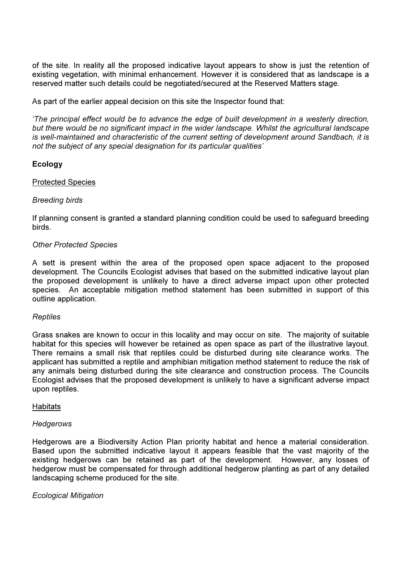of the site. In reality all the proposed indicative layout appears to show is just the retention of existing vegetation, with minimal enhancement. However it is considered that as landscape is a reserved matter such details could be negotiated/secured at the Reserved Matters stage.

As part of the earlier appeal decision on this site the Inspector found that:

'The principal effect would be to advance the edge of built development in a westerly direction, but there would be no significant impact in the wider landscape. Whilst the agricultural landscape is well-maintained and characteristic of the current setting of development around Sandbach, it is not the subject of any special designation for its particular qualities'

#### Ecology

#### Protected Species

#### Breeding birds

If planning consent is granted a standard planning condition could be used to safeguard breeding birds.

# Other Protected Species

A sett is present within the area of the proposed open space adjacent to the proposed development. The Councils Ecologist advises that based on the submitted indicative layout plan the proposed development is unlikely to have a direct adverse impact upon other protected species. An acceptable mitigation method statement has been submitted in support of this outline application.

#### **Reptiles**

Grass snakes are known to occur in this locality and may occur on site. The majority of suitable habitat for this species will however be retained as open space as part of the illustrative layout. There remains a small risk that reptiles could be disturbed during site clearance works. The applicant has submitted a reptile and amphibian mitigation method statement to reduce the risk of any animals being disturbed during the site clearance and construction process. The Councils Ecologist advises that the proposed development is unlikely to have a significant adverse impact upon reptiles.

#### Habitats

#### **Hedgerows**

Hedgerows are a Biodiversity Action Plan priority habitat and hence a material consideration. Based upon the submitted indicative layout it appears feasible that the vast majority of the existing hedgerows can be retained as part of the development. However, any losses of hedgerow must be compensated for through additional hedgerow planting as part of any detailed landscaping scheme produced for the site.

#### Ecological Mitigation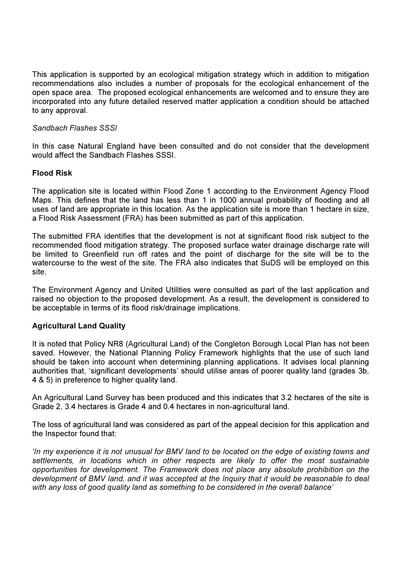This application is supported by an ecological mitigation strategy which in addition to mitigation recommendations also includes a number of proposals for the ecological enhancement of the open space area. The proposed ecological enhancements are welcomed and to ensure they are incorporated into any future detailed reserved matter application a condition should be attached to any approval.

# Sandbach Flashes SSSI

In this case Natural England have been consulted and do not consider that the development would affect the Sandbach Flashes SSSI.

# Flood Risk

The application site is located within Flood Zone 1 according to the Environment Agency Flood Maps. This defines that the land has less than 1 in 1000 annual probability of flooding and all uses of land are appropriate in this location. As the application site is more than 1 hectare in size, a Flood Risk Assessment (FRA) has been submitted as part of this application.

The submitted FRA identifies that the development is not at significant flood risk subject to the recommended flood mitigation strategy. The proposed surface water drainage discharge rate will be limited to Greenfield run off rates and the point of discharge for the site will be to the watercourse to the west of the site. The FRA also indicates that SuDS will be employed on this site.

The Environment Agency and United Utilities were consulted as part of the last application and raised no objection to the proposed development. As a result, the development is considered to be acceptable in terms of its flood risk/drainage implications.

# Agricultural Land Quality

It is noted that Policy NR8 (Agricultural Land) of the Congleton Borough Local Plan has not been saved. However, the National Planning Policy Framework highlights that the use of such land should be taken into account when determining planning applications. It advises local planning authorities that, 'significant developments' should utilise areas of poorer quality land (grades 3b, 4 & 5) in preference to higher quality land.

An Agricultural Land Survey has been produced and this indicates that 3.2 hectares of the site is Grade 2, 3.4 hectares is Grade 4 and 0.4 hectares in non-agricultural land.

The loss of agricultural land was considered as part of the appeal decision for this application and the Inspector found that:

'In my experience it is not unusual for BMV land to be located on the edge of existing towns and settlements, in locations which in other respects are likely to offer the most sustainable opportunities for development. The Framework does not place any absolute prohibition on the development of BMV land, and it was accepted at the Inquiry that it would be reasonable to deal with any loss of good quality land as something to be considered in the overall balance'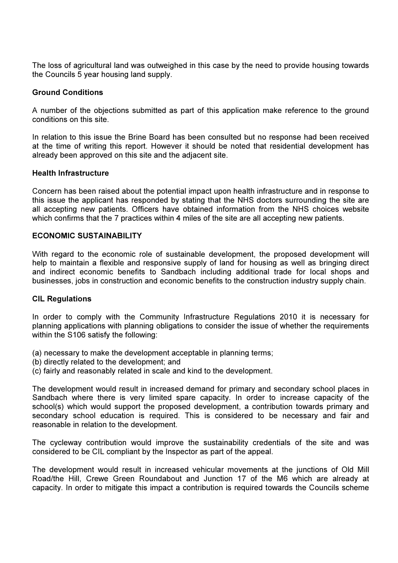The loss of agricultural land was outweighed in this case by the need to provide housing towards the Councils 5 year housing land supply.

#### Ground Conditions

A number of the objections submitted as part of this application make reference to the ground conditions on this site.

In relation to this issue the Brine Board has been consulted but no response had been received at the time of writing this report. However it should be noted that residential development has already been approved on this site and the adjacent site.

#### Health Infrastructure

Concern has been raised about the potential impact upon health infrastructure and in response to this issue the applicant has responded by stating that the NHS doctors surrounding the site are all accepting new patients. Officers have obtained information from the NHS choices website which confirms that the 7 practices within 4 miles of the site are all accepting new patients.

# ECONOMIC SUSTAINABILITY

With regard to the economic role of sustainable development, the proposed development will help to maintain a flexible and responsive supply of land for housing as well as bringing direct and indirect economic benefits to Sandbach including additional trade for local shops and businesses, jobs in construction and economic benefits to the construction industry supply chain.

#### CIL Regulations

In order to comply with the Community Infrastructure Regulations 2010 it is necessary for planning applications with planning obligations to consider the issue of whether the requirements within the S106 satisfy the following:

- (a) necessary to make the development acceptable in planning terms;
- (b) directly related to the development; and
- (c) fairly and reasonably related in scale and kind to the development.

The development would result in increased demand for primary and secondary school places in Sandbach where there is very limited spare capacity. In order to increase capacity of the school(s) which would support the proposed development, a contribution towards primary and secondary school education is required. This is considered to be necessary and fair and reasonable in relation to the development.

The cycleway contribution would improve the sustainability credentials of the site and was considered to be CIL compliant by the Inspector as part of the appeal.

The development would result in increased vehicular movements at the junctions of Old Mill Road/the Hill, Crewe Green Roundabout and Junction 17 of the M6 which are already at capacity. In order to mitigate this impact a contribution is required towards the Councils scheme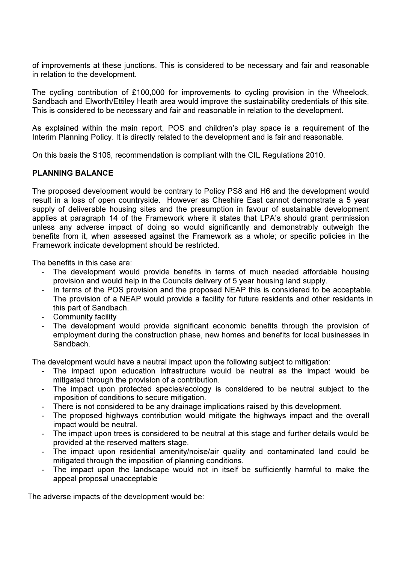of improvements at these junctions. This is considered to be necessary and fair and reasonable in relation to the development.

The cycling contribution of £100,000 for improvements to cycling provision in the Wheelock, Sandbach and Elworth/Ettiley Heath area would improve the sustainability credentials of this site. This is considered to be necessary and fair and reasonable in relation to the development.

As explained within the main report, POS and children's play space is a requirement of the Interim Planning Policy. It is directly related to the development and is fair and reasonable.

On this basis the S106, recommendation is compliant with the CIL Regulations 2010.

# PLANNING BALANCE

The proposed development would be contrary to Policy PS8 and H6 and the development would result in a loss of open countryside. However as Cheshire East cannot demonstrate a 5 year supply of deliverable housing sites and the presumption in favour of sustainable development applies at paragraph 14 of the Framework where it states that LPA's should grant permission unless any adverse impact of doing so would significantly and demonstrably outweigh the benefits from it, when assessed against the Framework as a whole; or specific policies in the Framework indicate development should be restricted.

The benefits in this case are:

- The development would provide benefits in terms of much needed affordable housing provision and would help in the Councils delivery of 5 year housing land supply.
- In terms of the POS provision and the proposed NEAP this is considered to be acceptable. The provision of a NEAP would provide a facility for future residents and other residents in this part of Sandbach.
- Community facility
- The development would provide significant economic benefits through the provision of employment during the construction phase, new homes and benefits for local businesses in Sandbach.

The development would have a neutral impact upon the following subject to mitigation:

- The impact upon education infrastructure would be neutral as the impact would be mitigated through the provision of a contribution.
- The impact upon protected species/ecology is considered to be neutral subject to the imposition of conditions to secure mitigation.
- There is not considered to be any drainage implications raised by this development.
- The proposed highways contribution would mitigate the highways impact and the overall impact would be neutral.
- The impact upon trees is considered to be neutral at this stage and further details would be provided at the reserved matters stage.
- The impact upon residential amenity/noise/air quality and contaminated land could be mitigated through the imposition of planning conditions.
- The impact upon the landscape would not in itself be sufficiently harmful to make the appeal proposal unacceptable

The adverse impacts of the development would be: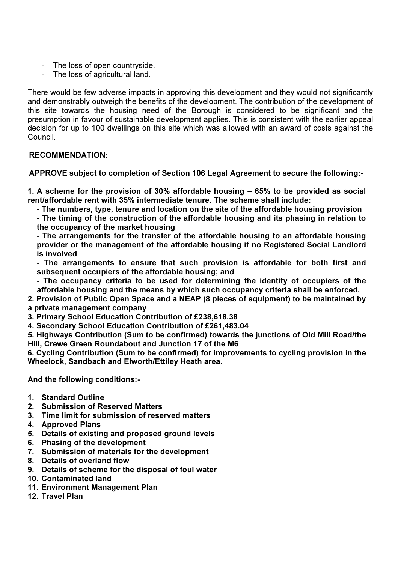- The loss of open countryside.
- The loss of agricultural land.

There would be few adverse impacts in approving this development and they would not significantly and demonstrably outweigh the benefits of the development. The contribution of the development of this site towards the housing need of the Borough is considered to be significant and the presumption in favour of sustainable development applies. This is consistent with the earlier appeal decision for up to 100 dwellings on this site which was allowed with an award of costs against the Council.

# RECOMMENDATION:

APPROVE subject to completion of Section 106 Legal Agreement to secure the following:-

1. A scheme for the provision of 30% affordable housing – 65% to be provided as social rent/affordable rent with 35% intermediate tenure. The scheme shall include:

- The numbers, type, tenure and location on the site of the affordable housing provision

- The timing of the construction of the affordable housing and its phasing in relation to the occupancy of the market housing

- The arrangements for the transfer of the affordable housing to an affordable housing provider or the management of the affordable housing if no Registered Social Landlord is involved

- The arrangements to ensure that such provision is affordable for both first and subsequent occupiers of the affordable housing; and

- The occupancy criteria to be used for determining the identity of occupiers of the affordable housing and the means by which such occupancy criteria shall be enforced.

2. Provision of Public Open Space and a NEAP (8 pieces of equipment) to be maintained by a private management company

3. Primary School Education Contribution of £238,618.38

4. Secondary School Education Contribution of £261,483.04

5. Highways Contribution (Sum to be confirmed) towards the junctions of Old Mill Road/the Hill, Crewe Green Roundabout and Junction 17 of the M6

6. Cycling Contribution (Sum to be confirmed) for improvements to cycling provision in the Wheelock, Sandbach and Elworth/Ettiley Heath area.

And the following conditions:-

- 1. Standard Outline
- 2. Submission of Reserved Matters
- 3. Time limit for submission of reserved matters
- 4. Approved Plans
- 5. Details of existing and proposed ground levels
- 6. Phasing of the development
- 7. Submission of materials for the development
- 8. Details of overland flow
- 9. Details of scheme for the disposal of foul water
- 10. Contaminated land
- 11. Environment Management Plan
- 12. Travel Plan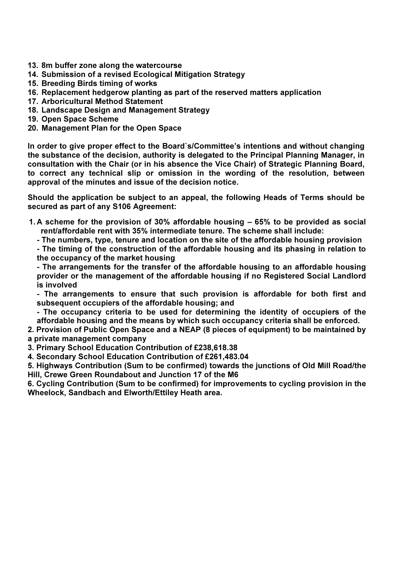- 13. 8m buffer zone along the watercourse
- 14. Submission of a revised Ecological Mitigation Strategy
- 15. Breeding Birds timing of works
- 16. Replacement hedgerow planting as part of the reserved matters application
- 17. Arboricultural Method Statement
- 18. Landscape Design and Management Strategy
- 19. Open Space Scheme
- 20. Management Plan for the Open Space

In order to give proper effect to the Board`s/Committee's intentions and without changing the substance of the decision, authority is delegated to the Principal Planning Manager, in consultation with the Chair (or in his absence the Vice Chair) of Strategic Planning Board, to correct any technical slip or omission in the wording of the resolution, between approval of the minutes and issue of the decision notice.

Should the application be subject to an appeal, the following Heads of Terms should be secured as part of any S106 Agreement:

- 1. A scheme for the provision of 30% affordable housing 65% to be provided as social rent/affordable rent with 35% intermediate tenure. The scheme shall include:
	- The numbers, type, tenure and location on the site of the affordable housing provision

- The timing of the construction of the affordable housing and its phasing in relation to the occupancy of the market housing

- The arrangements for the transfer of the affordable housing to an affordable housing provider or the management of the affordable housing if no Registered Social Landlord is involved

- The arrangements to ensure that such provision is affordable for both first and subsequent occupiers of the affordable housing; and

- The occupancy criteria to be used for determining the identity of occupiers of the affordable housing and the means by which such occupancy criteria shall be enforced.

2. Provision of Public Open Space and a NEAP (8 pieces of equipment) to be maintained by a private management company

3. Primary School Education Contribution of £238,618.38

4. Secondary School Education Contribution of £261,483.04

5. Highways Contribution (Sum to be confirmed) towards the junctions of Old Mill Road/the Hill, Crewe Green Roundabout and Junction 17 of the M6

6. Cycling Contribution (Sum to be confirmed) for improvements to cycling provision in the Wheelock, Sandbach and Elworth/Ettiley Heath area.